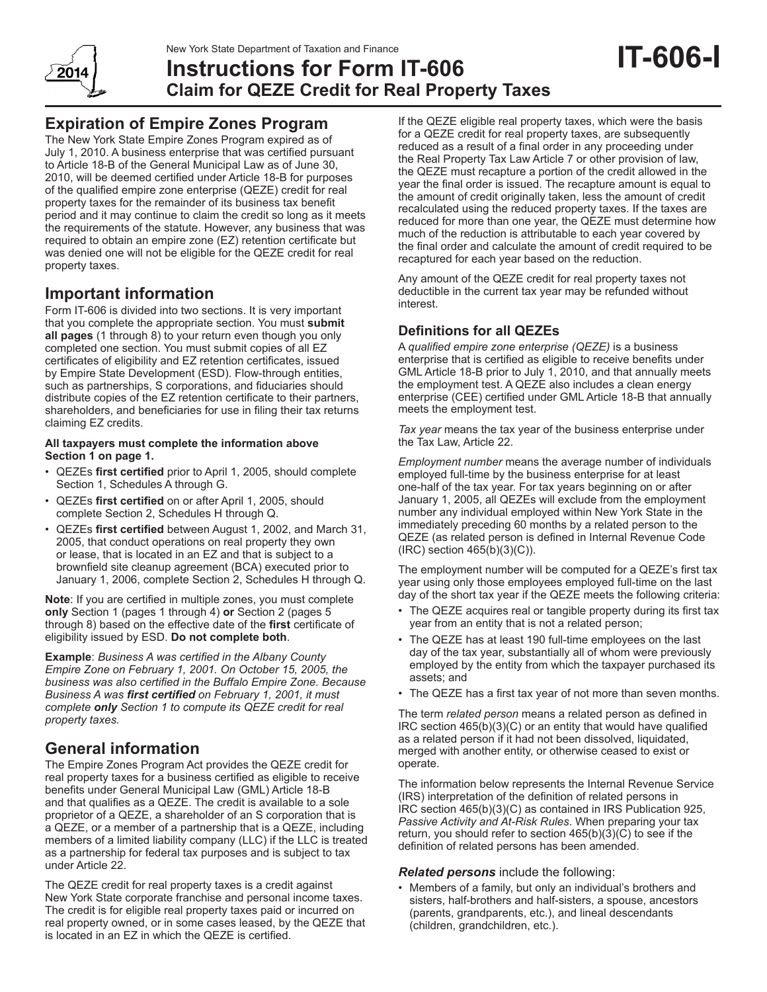

# **Instructions for Form IT-606 Claim for QEZE Credit for Real Property Taxes**

## **Expiration of Empire Zones Program**

The New York State Empire Zones Program expired as of July 1, 2010. A business enterprise that was certified pursuant to Article 18-B of the General Municipal Law as of June 30, 2010, will be deemed certified under Article 18-B for purposes of the qualified empire zone enterprise (QEZE) credit for real property taxes for the remainder of its business tax benefit period and it may continue to claim the credit so long as it meets the requirements of the statute. However, any business that was required to obtain an empire zone (EZ) retention certificate but was denied one will not be eligible for the QEZE credit for real property taxes.

## **Important information**

Form IT-606 is divided into two sections. It is very important that you complete the appropriate section. You must **submit all pages** (1 through 8) to your return even though you only completed one section. You must submit copies of all EZ certificates of eligibility and EZ retention certificates, issued by Empire State Development (ESD). Flow-through entities, such as partnerships, S corporations, and fiduciaries should distribute copies of the EZ retention certificate to their partners, shareholders, and beneficiaries for use in filing their tax returns claiming EZ credits.

#### **All taxpayers must complete the information above Section 1 on page 1.**

- QEZEs **first certified** prior to April 1, 2005, should complete Section 1, Schedules A through G.
- QEZEs **first certified** on or after April 1, 2005, should complete Section 2, Schedules H through Q.
- QEZEs **first certified** between August 1, 2002, and March 31, 2005, that conduct operations on real property they own or lease, that is located in an EZ and that is subject to a brownfield site cleanup agreement (BCA) executed prior to January 1, 2006, complete Section 2, Schedules H through Q.

**Note**: If you are certified in multiple zones, you must complete **only** Section 1 (pages 1 through 4) **or** Section 2 (pages 5 through 8) based on the effective date of the **first** certificate of eligibility issued by ESD. **Do not complete both**.

**Example**: *Business A was certified in the Albany County Empire Zone on February 1, 2001. On October 15, 2005, the business was also certified in the Buffalo Empire Zone. Because Business A was first certified on February 1, 2001, it must complete only Section 1 to compute its QEZE credit for real property taxes.*

## **General information**

The Empire Zones Program Act provides the QEZE credit for real property taxes for a business certified as eligible to receive benefits under General Municipal Law (GML) Article 18-B and that qualifies as a QEZE. The credit is available to a sole proprietor of a QEZE, a shareholder of an S corporation that is a QEZE, or a member of a partnership that is a QEZE, including members of a limited liability company (LLC) if the LLC is treated as a partnership for federal tax purposes and is subject to tax under Article 22.

The QEZE credit for real property taxes is a credit against New York State corporate franchise and personal income taxes. The credit is for eligible real property taxes paid or incurred on real property owned, or in some cases leased, by the QEZE that is located in an EZ in which the QEZE is certified.

If the QEZE eligible real property taxes, which were the basis for a QEZE credit for real property taxes, are subsequently reduced as a result of a final order in any proceeding under the Real Property Tax Law Article 7 or other provision of law, the QEZE must recapture a portion of the credit allowed in the year the final order is issued. The recapture amount is equal to the amount of credit originally taken, less the amount of credit recalculated using the reduced property taxes. If the taxes are reduced for more than one year, the QEZE must determine how much of the reduction is attributable to each year covered by the final order and calculate the amount of credit required to be recaptured for each year based on the reduction.

Any amount of the QEZE credit for real property taxes not deductible in the current tax year may be refunded without interest.

## **Definitions for all QEZEs**

A *qualified empire zone enterprise (QEZE)* is a business enterprise that is certified as eligible to receive benefits under GML Article 18-B prior to July 1, 2010, and that annually meets the employment test. A QEZE also includes a clean energy enterprise (CEE) certified under GML Article 18-B that annually meets the employment test.

*Tax year* means the tax year of the business enterprise under the Tax Law, Article 22.

*Employment number* means the average number of individuals employed full-time by the business enterprise for at least one-half of the tax year. For tax years beginning on or after January 1, 2005, all QEZEs will exclude from the employment number any individual employed within New York State in the immediately preceding 60 months by a related person to the QEZE (as related person is defined in Internal Revenue Code (IRC) section 465(b)(3)(C)).

The employment number will be computed for a QEZE's first tax year using only those employees employed full-time on the last day of the short tax year if the QEZE meets the following criteria:

- The QEZE acquires real or tangible property during its first tax year from an entity that is not a related person;
- The QEZE has at least 190 full-time employees on the last day of the tax year, substantially all of whom were previously employed by the entity from which the taxpayer purchased its assets; and
- The QEZE has a first tax year of not more than seven months.

The term *related person* means a related person as defined in IRC section 465(b)(3)(C) or an entity that would have qualified as a related person if it had not been dissolved, liquidated, merged with another entity, or otherwise ceased to exist or operate.

The information below represents the Internal Revenue Service (IRS) interpretation of the definition of related persons in IRC section 465(b)(3)(C) as contained in IRS Publication 925, *Passive Activity and At-Risk Rules*. When preparing your tax return, you should refer to section 465(b)(3)(C) to see if the definition of related persons has been amended.

#### *Related persons* include the following:

• Members of a family, but only an individual's brothers and sisters, half-brothers and half-sisters, a spouse, ancestors (parents, grandparents, etc.), and lineal descendants (children, grandchildren, etc.).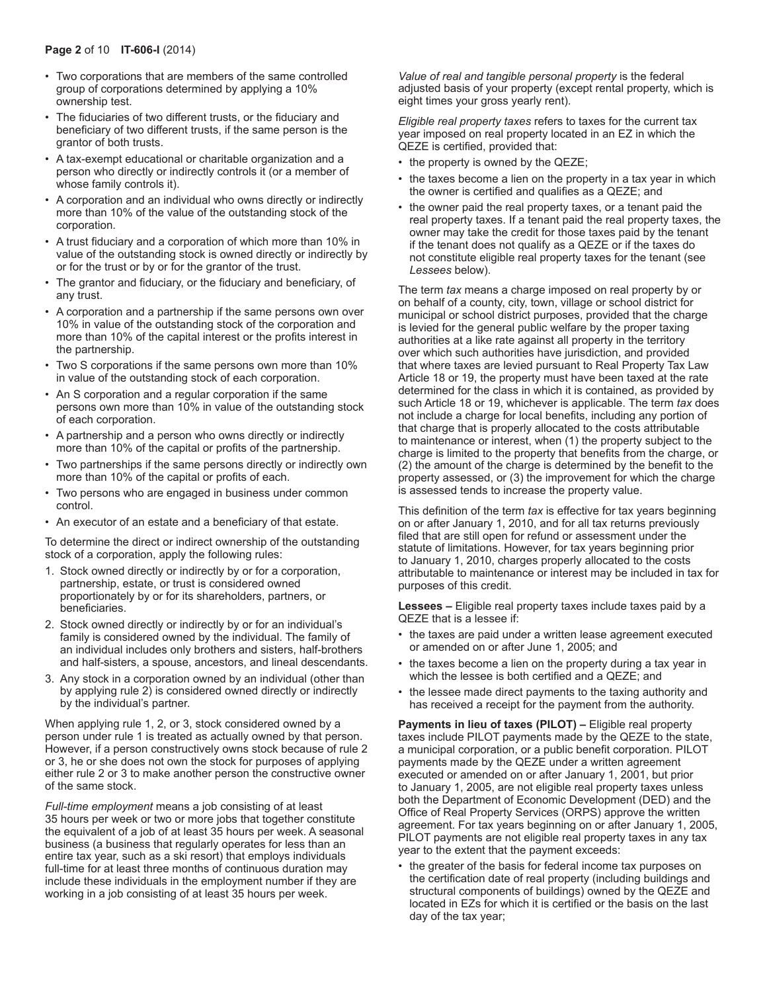- Two corporations that are members of the same controlled group of corporations determined by applying a 10% ownership test.
- The fiduciaries of two different trusts, or the fiduciary and beneficiary of two different trusts, if the same person is the grantor of both trusts.
- A tax-exempt educational or charitable organization and a person who directly or indirectly controls it (or a member of whose family controls it).
- A corporation and an individual who owns directly or indirectly more than 10% of the value of the outstanding stock of the corporation.
- A trust fiduciary and a corporation of which more than 10% in value of the outstanding stock is owned directly or indirectly by or for the trust or by or for the grantor of the trust.
- The grantor and fiduciary, or the fiduciary and beneficiary, of any trust.
- A corporation and a partnership if the same persons own over 10% in value of the outstanding stock of the corporation and more than 10% of the capital interest or the profits interest in the partnership.
- Two S corporations if the same persons own more than 10% in value of the outstanding stock of each corporation.
- An S corporation and a regular corporation if the same persons own more than 10% in value of the outstanding stock of each corporation.
- A partnership and a person who owns directly or indirectly more than 10% of the capital or profits of the partnership.
- Two partnerships if the same persons directly or indirectly own more than 10% of the capital or profits of each.
- Two persons who are engaged in business under common control.
- An executor of an estate and a beneficiary of that estate.

To determine the direct or indirect ownership of the outstanding stock of a corporation, apply the following rules:

- 1. Stock owned directly or indirectly by or for a corporation, partnership, estate, or trust is considered owned proportionately by or for its shareholders, partners, or beneficiaries.
- 2. Stock owned directly or indirectly by or for an individual's family is considered owned by the individual. The family of an individual includes only brothers and sisters, half-brothers and half-sisters, a spouse, ancestors, and lineal descendants.
- 3. Any stock in a corporation owned by an individual (other than by applying rule 2) is considered owned directly or indirectly by the individual's partner.

When applying rule 1, 2, or 3, stock considered owned by a person under rule 1 is treated as actually owned by that person. However, if a person constructively owns stock because of rule 2 or 3, he or she does not own the stock for purposes of applying either rule 2 or 3 to make another person the constructive owner of the same stock.

*Full‑time employment* means a job consisting of at least 35 hours per week or two or more jobs that together constitute the equivalent of a job of at least 35 hours per week. A seasonal business (a business that regularly operates for less than an entire tax year, such as a ski resort) that employs individuals full-time for at least three months of continuous duration may include these individuals in the employment number if they are working in a job consisting of at least 35 hours per week.

*Value of real and tangible personal property* is the federal adjusted basis of your property (except rental property, which is eight times your gross yearly rent).

*Eligible real property taxes* refers to taxes for the current tax year imposed on real property located in an EZ in which the QEZE is certified, provided that:

- the property is owned by the QEZE;
- the taxes become a lien on the property in a tax year in which the owner is certified and qualifies as a QEZE; and
- the owner paid the real property taxes, or a tenant paid the real property taxes. If a tenant paid the real property taxes, the owner may take the credit for those taxes paid by the tenant if the tenant does not qualify as a QEZE or if the taxes do not constitute eligible real property taxes for the tenant (see *Lessees* below).

The term *tax* means a charge imposed on real property by or on behalf of a county, city, town, village or school district for municipal or school district purposes, provided that the charge is levied for the general public welfare by the proper taxing authorities at a like rate against all property in the territory over which such authorities have jurisdiction, and provided that where taxes are levied pursuant to Real Property Tax Law Article 18 or 19, the property must have been taxed at the rate determined for the class in which it is contained, as provided by such Article 18 or 19, whichever is applicable. The term *tax* does not include a charge for local benefits, including any portion of that charge that is properly allocated to the costs attributable to maintenance or interest, when (1) the property subject to the charge is limited to the property that benefits from the charge, or (2) the amount of the charge is determined by the benefit to the property assessed, or (3) the improvement for which the charge is assessed tends to increase the property value.

This definition of the term *tax* is effective for tax years beginning on or after January 1, 2010, and for all tax returns previously filed that are still open for refund or assessment under the statute of limitations. However, for tax years beginning prior to January 1, 2010, charges properly allocated to the costs attributable to maintenance or interest may be included in tax for purposes of this credit.

**Lessees –** Eligible real property taxes include taxes paid by a QEZE that is a lessee if:

- the taxes are paid under a written lease agreement executed or amended on or after June 1, 2005; and
- the taxes become a lien on the property during a tax year in which the lessee is both certified and a QEZE; and
- the lessee made direct payments to the taxing authority and has received a receipt for the payment from the authority.

**Payments in lieu of taxes (PILOT) –** Eligible real property taxes include PILOT payments made by the QEZE to the state, a municipal corporation, or a public benefit corporation. PILOT payments made by the QEZE under a written agreement executed or amended on or after January 1, 2001, but prior to January 1, 2005, are not eligible real property taxes unless both the Department of Economic Development (DED) and the Office of Real Property Services (ORPS) approve the written agreement. For tax years beginning on or after January 1, 2005, PILOT payments are not eligible real property taxes in any tax year to the extent that the payment exceeds:

• the greater of the basis for federal income tax purposes on the certification date of real property (including buildings and structural components of buildings) owned by the QEZE and located in EZs for which it is certified or the basis on the last day of the tax year;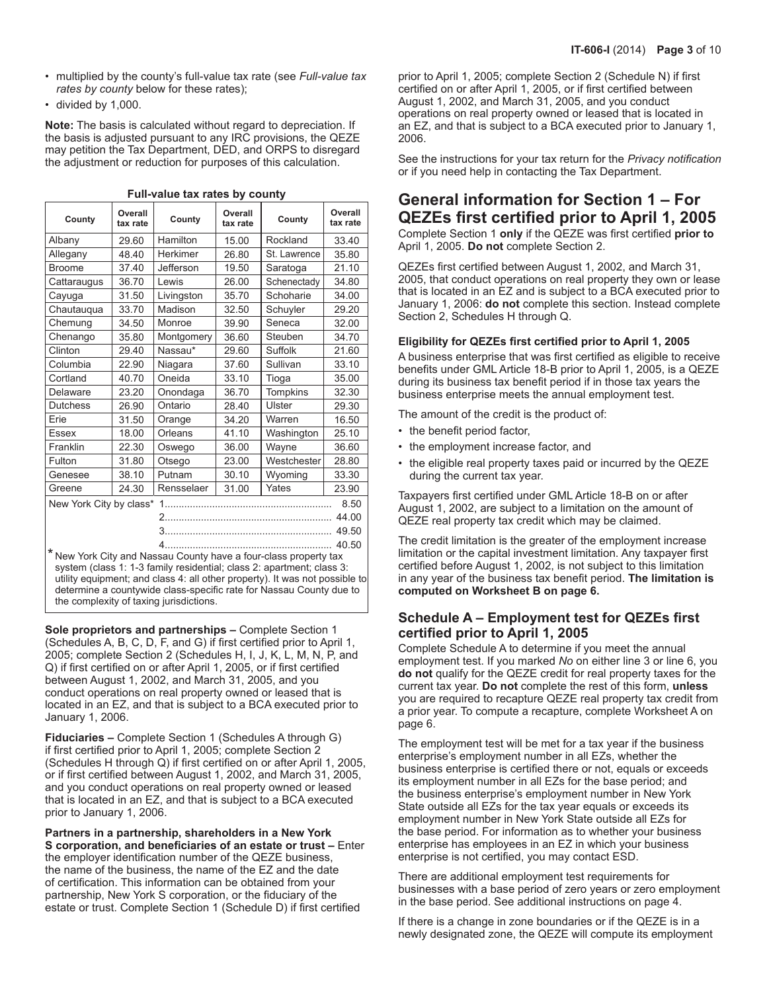- multiplied by the county's full-value tax rate (see *Full-value tax rates by county* below for these rates);
- divided by 1,000.

**Note:** The basis is calculated without regard to depreciation. If the basis is adjusted pursuant to any IRC provisions, the QEZE may petition the Tax Department, DED, and ORPS to disregard the adjustment or reduction for purposes of this calculation.

| County                          | Overall<br>tax rate | Overall<br>County<br>County<br>tax rate |       |                 | Overall<br>tax rate |  |
|---------------------------------|---------------------|-----------------------------------------|-------|-----------------|---------------------|--|
| Albany                          | 29.60               | Hamilton                                | 15.00 | Rockland        | 33.40               |  |
| Allegany                        | 48.40               | Herkimer<br>St. Lawrence<br>26.80       |       | 35.80           |                     |  |
| <b>Broome</b>                   | 37.40               | Jefferson                               | 19.50 | Saratoga        | 21.10               |  |
| Cattaraugus                     | 36.70               | Lewis                                   | 26.00 | Schenectady     | 34.80               |  |
| Cayuga                          | 31.50               | Livingston                              | 35.70 | Schoharie       | 34.00               |  |
| Chautauqua                      | 33.70               | Madison                                 | 32.50 | Schuyler        | 29.20               |  |
| Chemung                         | 34.50               | Monroe                                  | 39.90 | Seneca          | 32.00               |  |
| Chenango                        | 35.80               | Montgomery                              | 36.60 | Steuben         | 34.70               |  |
| Clinton                         | 29.40               | Nassau*                                 | 29.60 | Suffolk         | 21.60               |  |
| Columbia                        | 22.90               | Niagara                                 | 37.60 | Sullivan        | 33.10               |  |
| Cortland                        | 40.70               | Oneida                                  | 33.10 | Tioga           | 35.00               |  |
| Delaware                        | 23.20               | Onondaga                                | 36.70 | <b>Tompkins</b> | 32.30               |  |
| <b>Dutchess</b>                 | 26.90               | Ontario                                 | 28.40 | Ulster          | 29.30               |  |
| Erie                            | 31.50               | Orange                                  | 34.20 | Warren          | 16.50               |  |
| Essex                           | 18.00               | Orleans                                 | 41.10 | Washington      | 25.10               |  |
| Franklin                        | 22.30               | Oswego                                  | 36.00 | Wayne           | 36.60               |  |
| Fulton                          | 31.80               | Otsego                                  | 23.00 | Westchester     | 28.80               |  |
| Genesee                         | 38.10               | Putnam                                  | 30.10 | Wyoming         | 33.30               |  |
| Greene                          | 24.30               | Rensselaer                              | 31.00 | Yates           | 23.90               |  |
| New York City by class*<br>8.50 |                     |                                         |       |                 |                     |  |
|                                 |                     |                                         |       |                 |                     |  |
|                                 |                     | 49.50                                   |       |                 |                     |  |
| 40.50                           |                     |                                         |       |                 |                     |  |

**Full-value tax rates by county**

4............................................................ \* New York City and Nassau County have a four-class property tax system (class 1: 1-3 family residential; class 2: apartment; class 3: utility equipment; and class 4: all other property). It was not possible to determine a countywide class-specific rate for Nassau County due to the complexity of taxing jurisdictions.

**Sole proprietors and partnerships –** Complete Section 1 (Schedules A, B, C, D, F, and G) if first certified prior to April 1, 2005; complete Section 2 (Schedules H, I, J, K, L, M, N, P, and Q) if first certified on or after April 1, 2005, or if first certified between August 1, 2002, and March 31, 2005, and you conduct operations on real property owned or leased that is located in an EZ, and that is subject to a BCA executed prior to January 1, 2006.

**Fiduciaries –** Complete Section 1 (Schedules A through G) if first certified prior to April 1, 2005; complete Section 2 (Schedules H through Q) if first certified on or after April 1, 2005, or if first certified between August 1, 2002, and March 31, 2005, and you conduct operations on real property owned or leased that is located in an EZ, and that is subject to a BCA executed prior to January 1, 2006.

**Partners in a partnership, shareholders in a New York S corporation, and beneficiaries of an estate or trust –** Enter the employer identification number of the QEZE business, the name of the business, the name of the EZ and the date of certification. This information can be obtained from your partnership, New York S corporation, or the fiduciary of the estate or trust. Complete Section 1 (Schedule D) if first certified

prior to April 1, 2005; complete Section 2 (Schedule N) if first certified on or after April 1, 2005, or if first certified between August 1, 2002, and March 31, 2005, and you conduct operations on real property owned or leased that is located in an EZ, and that is subject to a BCA executed prior to January 1, 2006.

See the instructions for your tax return for the *Privacy notification*  or if you need help in contacting the Tax Department.

## **General information for Section 1 – For QEZEs first certified prior to April 1, 2005**

Complete Section 1 **only** if the QEZE was first certified **prior to**  April 1, 2005. **Do not** complete Section 2.

QEZEs first certified between August 1, 2002, and March 31, 2005, that conduct operations on real property they own or lease that is located in an EZ and is subject to a BCA executed prior to January 1, 2006: **do not** complete this section. Instead complete Section 2, Schedules H through Q.

#### **Eligibility for QEZEs first certified prior to April 1, 2005**

A business enterprise that was first certified as eligible to receive benefits under GML Article 18‑B prior to April 1, 2005, is a QEZE during its business tax benefit period if in those tax years the business enterprise meets the annual employment test.

The amount of the credit is the product of:

- the benefit period factor,
- the employment increase factor, and
- the eligible real property taxes paid or incurred by the QEZE during the current tax year.

Taxpayers first certified under GML Article 18-B on or after August 1, 2002, are subject to a limitation on the amount of QEZE real property tax credit which may be claimed.

The credit limitation is the greater of the employment increase limitation or the capital investment limitation. Any taxpayer first certified before August 1, 2002, is not subject to this limitation in any year of the business tax benefit period. **The limitation is computed on Worksheet B on page 6.**

### **Schedule A – Employment test for QEZEs first certified prior to April 1, 2005**

Complete Schedule A to determine if you meet the annual employment test. If you marked *No* on either line 3 or line 6, you **do not** qualify for the QEZE credit for real property taxes for the current tax year. **Do not** complete the rest of this form, **unless** you are required to recapture QEZE real property tax credit from a prior year. To compute a recapture, complete Worksheet A on page 6.

The employment test will be met for a tax year if the business enterprise's employment number in all EZs, whether the business enterprise is certified there or not, equals or exceeds its employment number in all EZs for the base period; and the business enterprise's employment number in New York State outside all EZs for the tax year equals or exceeds its employment number in New York State outside all EZs for the base period. For information as to whether your business enterprise has employees in an EZ in which your business enterprise is not certified, you may contact ESD.

There are additional employment test requirements for businesses with a base period of zero years or zero employment in the base period. See additional instructions on page 4.

If there is a change in zone boundaries or if the QEZE is in a newly designated zone, the QEZE will compute its employment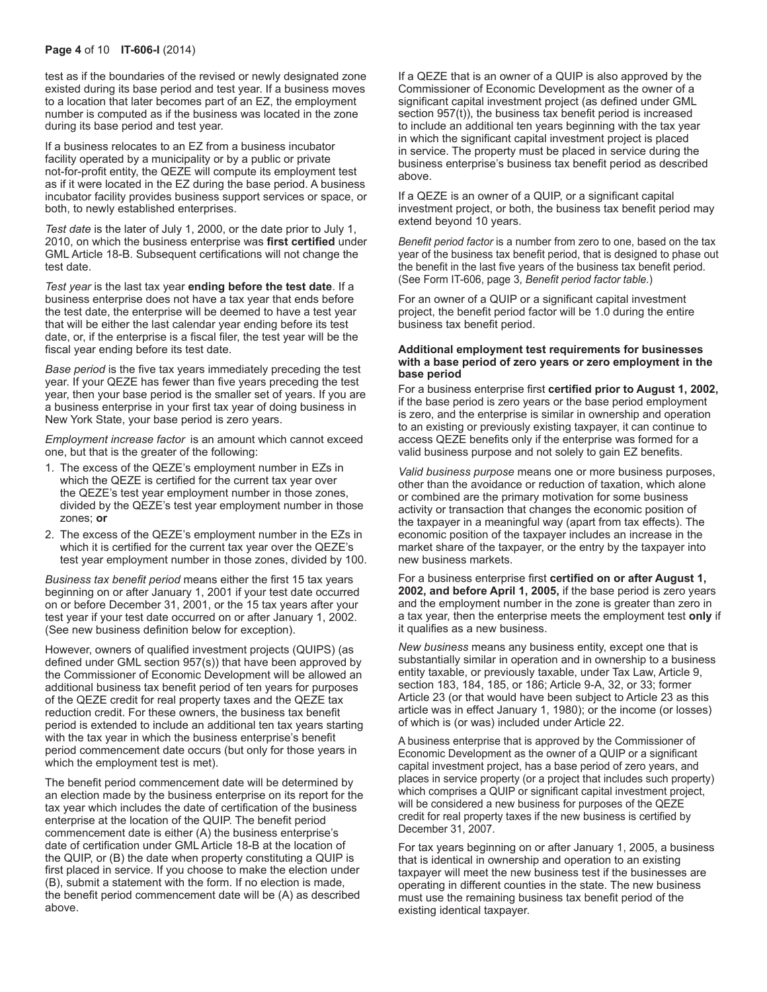#### **Page 4** of 10 **IT-606-I** (2014)

test as if the boundaries of the revised or newly designated zone existed during its base period and test year. If a business moves to a location that later becomes part of an EZ, the employment number is computed as if the business was located in the zone during its base period and test year.

If a business relocates to an EZ from a business incubator facility operated by a municipality or by a public or private not-for-profit entity, the QEZE will compute its employment test as if it were located in the EZ during the base period. A business incubator facility provides business support services or space, or both, to newly established enterprises.

*Test date* is the later of July 1, 2000, or the date prior to July 1, 2010, on which the business enterprise was **first certified** under GML Article 18‑B. Subsequent certifications will not change the test date.

*Test year* is the last tax year **ending before the test date**. If a business enterprise does not have a tax year that ends before the test date, the enterprise will be deemed to have a test year that will be either the last calendar year ending before its test date, or, if the enterprise is a fiscal filer, the test year will be the fiscal year ending before its test date.

*Base period* is the five tax years immediately preceding the test year. If your QEZE has fewer than five years preceding the test year, then your base period is the smaller set of years. If you are a business enterprise in your first tax year of doing business in New York State, your base period is zero years.

*Employment increase factor* is an amount which cannot exceed one, but that is the greater of the following:

- 1. The excess of the QEZE's employment number in EZs in which the QEZE is certified for the current tax year over the QEZE's test year employment number in those zones, divided by the QEZE's test year employment number in those zones; **or**
- 2. The excess of the QEZE's employment number in the EZs in which it is certified for the current tax year over the QEZE's test year employment number in those zones, divided by 100.

*Business tax benefit period* means either the first 15 tax years beginning on or after January 1, 2001 if your test date occurred on or before December 31, 2001, or the 15 tax years after your test year if your test date occurred on or after January 1, 2002. (See new business definition below for exception).

However, owners of qualified investment projects (QUIPS) (as defined under GML section 957(s)) that have been approved by the Commissioner of Economic Development will be allowed an additional business tax benefit period of ten years for purposes of the QEZE credit for real property taxes and the QEZE tax reduction credit. For these owners, the business tax benefit period is extended to include an additional ten tax years starting with the tax year in which the business enterprise's benefit period commencement date occurs (but only for those years in which the employment test is met).

The benefit period commencement date will be determined by an election made by the business enterprise on its report for the tax year which includes the date of certification of the business enterprise at the location of the QUIP. The benefit period commencement date is either (A) the business enterprise's date of certification under GML Article 18-B at the location of the QUIP, or (B) the date when property constituting a QUIP is first placed in service. If you choose to make the election under (B), submit a statement with the form. If no election is made, the benefit period commencement date will be (A) as described above.

If a QEZE that is an owner of a QUIP is also approved by the Commissioner of Economic Development as the owner of a significant capital investment project (as defined under GML section 957(t)), the business tax benefit period is increased to include an additional ten years beginning with the tax year in which the significant capital investment project is placed in service. The property must be placed in service during the business enterprise's business tax benefit period as described above.

If a QEZE is an owner of a QUIP, or a significant capital investment project, or both, the business tax benefit period may extend beyond 10 years.

*Benefit period factor* is a number from zero to one, based on the tax year of the business tax benefit period, that is designed to phase out the benefit in the last five years of the business tax benefit period. (See Form IT-606, page 3, *Benefit period factor table*.)

For an owner of a QUIP or a significant capital investment project, the benefit period factor will be 1.0 during the entire business tax benefit period.

#### **Additional employment test requirements for businesses with a base period of zero years or zero employment in the base period**

For a business enterprise first **certified prior to August 1, 2002,**  if the base period is zero years or the base period employment is zero, and the enterprise is similar in ownership and operation to an existing or previously existing taxpayer, it can continue to access QEZE benefits only if the enterprise was formed for a valid business purpose and not solely to gain EZ benefits.

*Valid business purpose* means one or more business purposes, other than the avoidance or reduction of taxation, which alone or combined are the primary motivation for some business activity or transaction that changes the economic position of the taxpayer in a meaningful way (apart from tax effects). The economic position of the taxpayer includes an increase in the market share of the taxpayer, or the entry by the taxpayer into new business markets.

For a business enterprise first **certified on or after August 1, 2002, and before April 1, 2005,** if the base period is zero years and the employment number in the zone is greater than zero in a tax year, then the enterprise meets the employment test **only** if it qualifies as a new business.

*New business* means any business entity, except one that is substantially similar in operation and in ownership to a business entity taxable, or previously taxable, under Tax Law, Article 9, section 183, 184, 185, or 186; Article 9-A, 32, or 33; former Article 23 (or that would have been subject to Article 23 as this article was in effect January 1, 1980); or the income (or losses) of which is (or was) included under Article 22.

A business enterprise that is approved by the Commissioner of Economic Development as the owner of a QUIP or a significant capital investment project, has a base period of zero years, and places in service property (or a project that includes such property) which comprises a QUIP or significant capital investment project, will be considered a new business for purposes of the QEZE credit for real property taxes if the new business is certified by December 31, 2007.

For tax years beginning on or after January 1, 2005, a business that is identical in ownership and operation to an existing taxpayer will meet the new business test if the businesses are operating in different counties in the state. The new business must use the remaining business tax benefit period of the existing identical taxpayer.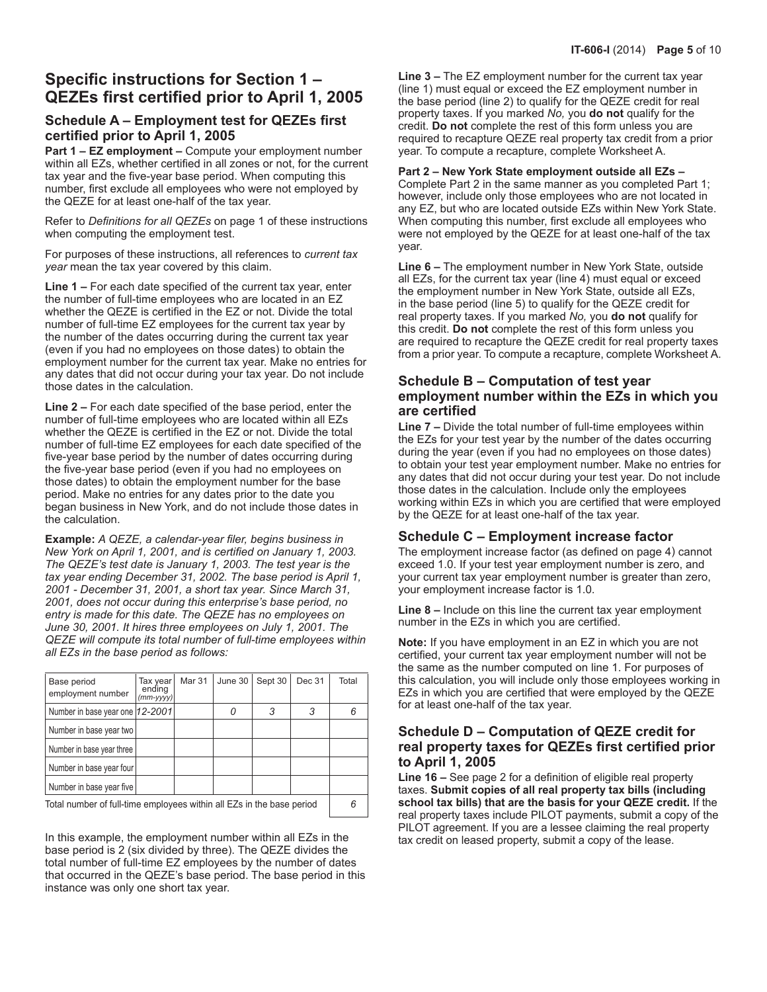## **Specific instructions for Section 1 – QEZEs first certified prior to April 1, 2005**

### **Schedule A – Employment test for QEZEs first certified prior to April 1, 2005**

**Part 1 – EZ employment –** Compute your employment number within all EZs, whether certified in all zones or not, for the current tax year and the five‑year base period. When computing this number, first exclude all employees who were not employed by the QEZE for at least one-half of the tax year.

Refer to *Definitions for all QEZEs* on page 1 of these instructions when computing the employment test.

For purposes of these instructions, all references to *current tax year* mean the tax year covered by this claim.

**Line 1 –** For each date specified of the current tax year, enter the number of full-time employees who are located in an EZ whether the QEZE is certified in the EZ or not. Divide the total number of full-time EZ employees for the current tax year by the number of the dates occurring during the current tax year (even if you had no employees on those dates) to obtain the employment number for the current tax year. Make no entries for any dates that did not occur during your tax year. Do not include those dates in the calculation.

**Line 2 –** For each date specified of the base period, enter the number of full-time employees who are located within all EZs whether the QEZE is certified in the EZ or not. Divide the total number of full-time EZ employees for each date specified of the five‑year base period by the number of dates occurring during the five-year base period (even if you had no employees on those dates) to obtain the employment number for the base period. Make no entries for any dates prior to the date you began business in New York, and do not include those dates in the calculation.

**Example:** *A QEZE, a calendar-year filer, begins business in New York on April 1, 2001, and is certified on January 1, 2003. The QEZE's test date is January 1, 2003. The test year is the tax year ending December 31, 2002. The base period is April 1, 2001 - December 31, 2001, a short tax year. Since March 31, 2001, does not occur during this enterprise's base period, no entry is made for this date. The QEZE has no employees on June 30, 2001. It hires three employees on July 1, 2001. The QEZE will compute its total number of full‑time employees within all EZs in the base period as follows:*

| Base period<br>employment number                                      | Tax vear<br>ending<br>$(mm-yyyy)$ | Mar 31 | June 30 | Sept 30 | Dec 31 | Total |
|-----------------------------------------------------------------------|-----------------------------------|--------|---------|---------|--------|-------|
| Number in base year one  12-2001                                      |                                   |        |         | 3       |        |       |
| Number in base year two                                               |                                   |        |         |         |        |       |
| Number in base year three                                             |                                   |        |         |         |        |       |
| Number in base year four                                              |                                   |        |         |         |        |       |
| Number in base year five                                              |                                   |        |         |         |        |       |
| Total number of full-time employees within all EZs in the base period |                                   |        |         |         |        |       |

In this example, the employment number within all EZs in the base period is 2 (six divided by three). The QEZE divides the total number of full-time EZ employees by the number of dates that occurred in the QEZE's base period. The base period in this instance was only one short tax year.

**Line 3 –** The EZ employment number for the current tax year (line 1) must equal or exceed the EZ employment number in the base period (line 2) to qualify for the QEZE credit for real property taxes. If you marked *No,* you **do not** qualify for the credit. **Do not** complete the rest of this form unless you are required to recapture QEZE real property tax credit from a prior year. To compute a recapture, complete Worksheet A.

## **Part 2 – New York State employment outside all EZs –**

Complete Part 2 in the same manner as you completed Part 1; however, include only those employees who are not located in any EZ, but who are located outside EZs within New York State. When computing this number, first exclude all employees who were not employed by the QEZE for at least one-half of the tax year.

**Line 6 –** The employment number in New York State, outside all EZs, for the current tax year (line 4) must equal or exceed the employment number in New York State, outside all EZs, in the base period (line 5) to qualify for the QEZE credit for real property taxes. If you marked *No,* you **do not** qualify for this credit. **Do not** complete the rest of this form unless you are required to recapture the QEZE credit for real property taxes from a prior year. To compute a recapture, complete Worksheet A.

## **Schedule B – Computation of test year employment number within the EZs in which you are certified**

**Line 7 –** Divide the total number of full-time employees within the EZs for your test year by the number of the dates occurring during the year (even if you had no employees on those dates) to obtain your test year employment number. Make no entries for any dates that did not occur during your test year. Do not include those dates in the calculation. Include only the employees working within EZs in which you are certified that were employed by the QEZE for at least one‑half of the tax year.

## **Schedule C – Employment increase factor**

The employment increase factor (as defined on page 4) cannot exceed 1.0. If your test year employment number is zero, and your current tax year employment number is greater than zero, your employment increase factor is 1.0.

**Line 8 –** Include on this line the current tax year employment number in the EZs in which you are certified.

**Note:** If you have employment in an EZ in which you are not certified, your current tax year employment number will not be the same as the number computed on line 1. For purposes of this calculation, you will include only those employees working in EZs in which you are certified that were employed by the QEZE for at least one-half of the tax year.

## **Schedule D – Computation of QEZE credit for real property taxes for QEZEs first certified prior to April 1, 2005**

**Line 16 –** See page 2 for a definition of eligible real property taxes. **Submit copies of all real property tax bills (including school tax bills) that are the basis for your QEZE credit.** If the real property taxes include PILOT payments, submit a copy of the PILOT agreement. If you are a lessee claiming the real property tax credit on leased property, submit a copy of the lease.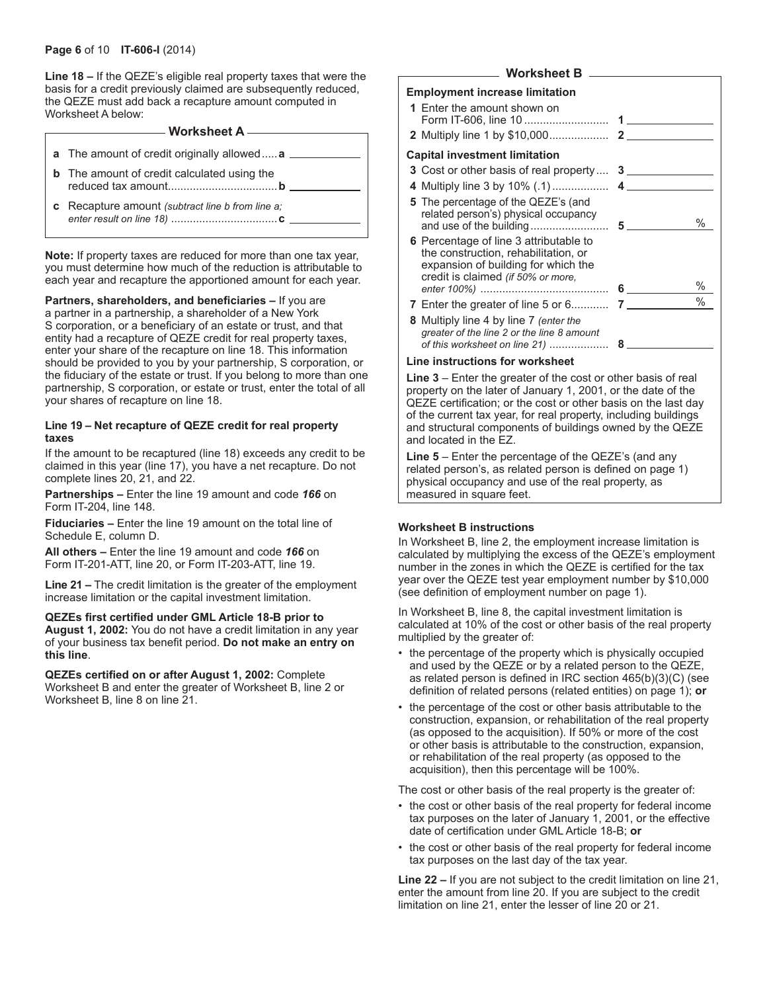**Line 18 –** If the QEZE's eligible real property taxes that were the basis for a credit previously claimed are subsequently reduced, the QEZE must add back a recapture amount computed in Worksheet A below:

## **Worksheet A**

- **a** The amount of credit originally allowed.....**a**
- **b** The amount of credit calculated using the reduced tax amount...................................**b**
- **c** Recapture amount *(subtract line b from line a; enter result on line 18)* ..................................**c**

**Note:** If property taxes are reduced for more than one tax year, you must determine how much of the reduction is attributable to each year and recapture the apportioned amount for each year.

**Partners, shareholders, and beneficiaries –** If you are a partner in a partnership, a shareholder of a New York S corporation, or a beneficiary of an estate or trust, and that entity had a recapture of QEZE credit for real property taxes, enter your share of the recapture on line 18. This information should be provided to you by your partnership, S corporation, or the fiduciary of the estate or trust. If you belong to more than one partnership, S corporation, or estate or trust, enter the total of all your shares of recapture on line 18.

#### **Line 19 – Net recapture of QEZE credit for real property taxes**

If the amount to be recaptured (line 18) exceeds any credit to be claimed in this year (line 17), you have a net recapture. Do not complete lines 20, 21, and 22.

**Partnerships –** Enter the line 19 amount and code *166* on Form IT-204, line 148.

**Fiduciaries –** Enter the line 19 amount on the total line of Schedule E, column D.

**All others –** Enter the line 19 amount and code *166* on Form IT‑201‑ATT, line 20, or Form IT-203-ATT, line 19.

**Line 21 –** The credit limitation is the greater of the employment increase limitation or the capital investment limitation.

#### **QEZEs first certified under GML Article 18-B prior to**

**August 1, 2002:** You do not have a credit limitation in any year of your business tax benefit period. **Do not make an entry on this line**.

**QEZEs certified on or after August 1, 2002:** Complete Worksheet B and enter the greater of Worksheet B, line 2 or Worksheet B, line 8 on line 21.

### **Worksheet B**

#### **Employment increase limitation**

| ווטושנט שניות וויטונט ומאס הייזיקטיונ                                                                                                                       |      |
|-------------------------------------------------------------------------------------------------------------------------------------------------------------|------|
| 1 Enter the amount shown on                                                                                                                                 |      |
|                                                                                                                                                             |      |
| <b>Capital investment limitation</b>                                                                                                                        |      |
| 3 Cost or other basis of real property 3                                                                                                                    |      |
|                                                                                                                                                             |      |
| 5 The percentage of the QEZE's (and<br>related person's) physical occupancy                                                                                 | %    |
| 6 Percentage of line 3 attributable to<br>the construction, rehabilitation, or<br>expansion of building for which the<br>credit is claimed (if 50% or more, | %    |
|                                                                                                                                                             | $\%$ |
| <b>8</b> Multiply line 4 by line 7 (enter the<br>greater of the line 2 or the line 8 amount<br>of this worksheet on line 21)                                | $8-$ |

#### **Line instructions for worksheet**

**Line 3** – Enter the greater of the cost or other basis of real property on the later of January 1, 2001, or the date of the QEZE certification; or the cost or other basis on the last day of the current tax year, for real property, including buildings and structural components of buildings owned by the QEZE and located in the EZ.

**Line 5** – Enter the percentage of the QEZE's (and any related person's, as related person is defined on page 1) physical occupancy and use of the real property, as measured in square feet.

#### **Worksheet B instructions**

In Worksheet B, line 2, the employment increase limitation is calculated by multiplying the excess of the QEZE's employment number in the zones in which the QEZE is certified for the tax year over the QEZE test year employment number by \$10,000 (see definition of employment number on page 1).

In Worksheet B, line 8, the capital investment limitation is calculated at 10% of the cost or other basis of the real property multiplied by the greater of:

- the percentage of the property which is physically occupied and used by the QEZE or by a related person to the QEZE, as related person is defined in IRC section 465(b)(3)(C) (see definition of related persons (related entities) on page 1); **or**
- the percentage of the cost or other basis attributable to the construction, expansion, or rehabilitation of the real property (as opposed to the acquisition). If 50% or more of the cost or other basis is attributable to the construction, expansion, or rehabilitation of the real property (as opposed to the acquisition), then this percentage will be 100%.

The cost or other basis of the real property is the greater of:

- the cost or other basis of the real property for federal income tax purposes on the later of January 1, 2001, or the effective date of certification under GML Article 18-B; **or**
- the cost or other basis of the real property for federal income tax purposes on the last day of the tax year.

**Line 22 –** If you are not subject to the credit limitation on line 21, enter the amount from line 20. If you are subject to the credit limitation on line 21, enter the lesser of line 20 or 21.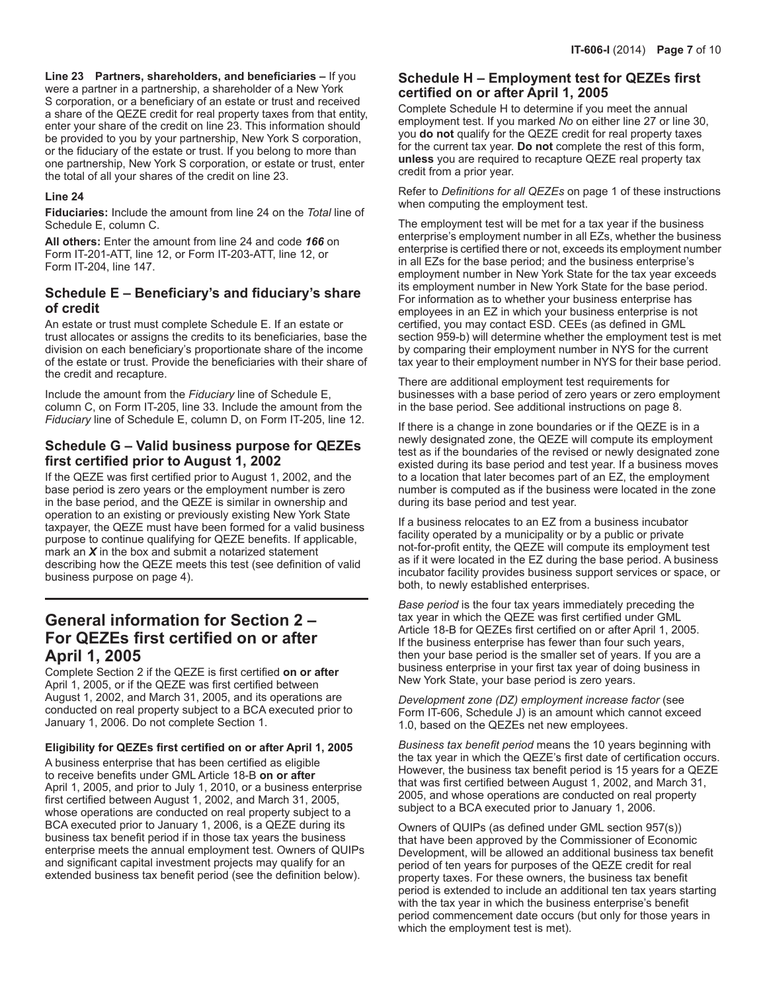**Line 23 Partners, shareholders, and beneficiaries –** If you were a partner in a partnership, a shareholder of a New York S corporation, or a beneficiary of an estate or trust and received a share of the QEZE credit for real property taxes from that entity, enter your share of the credit on line 23. This information should be provided to you by your partnership, New York S corporation, or the fiduciary of the estate or trust. If you belong to more than one partnership, New York S corporation, or estate or trust, enter the total of all your shares of the credit on line 23.

#### **Line 24**

**Fiduciaries:** Include the amount from line 24 on the *Total* line of Schedule E, column C.

**All others:** Enter the amount from line 24 and code *166* on Form IT-201-ATT, line 12, or Form IT-203-ATT, line 12, or Form IT-204, line 147.

## **Schedule E – Beneficiary's and fiduciary's share of credit**

An estate or trust must complete Schedule E. If an estate or trust allocates or assigns the credits to its beneficiaries, base the division on each beneficiary's proportionate share of the income of the estate or trust. Provide the beneficiaries with their share of the credit and recapture.

Include the amount from the *Fiduciary* line of Schedule E, column C, on Form IT-205, line 33. Include the amount from the *Fiduciary* line of Schedule E, column D, on Form IT-205, line 12.

## **Schedule G – Valid business purpose for QEZEs first certified prior to August 1, 2002**

If the QEZE was first certified prior to August 1, 2002, and the base period is zero years or the employment number is zero in the base period, and the QEZE is similar in ownership and operation to an existing or previously existing New York State taxpayer, the QEZE must have been formed for a valid business purpose to continue qualifying for QEZE benefits. If applicable, mark an *X* in the box and submit a notarized statement describing how the QEZE meets this test (see definition of valid business purpose on page 4).

## **General information for Section 2 – For QEZEs first certified on or after April 1, 2005**

Complete Section 2 if the QEZE is first certified **on or after**  April 1, 2005, or if the QEZE was first certified between August 1, 2002, and March 31, 2005, and its operations are conducted on real property subject to a BCA executed prior to January 1, 2006. Do not complete Section 1.

### **Eligibility for QEZEs first certified on or after April 1, 2005**

A business enterprise that has been certified as eligible to receive benefits under GML Article 18‑B **on or after** April 1, 2005, and prior to July 1, 2010, or a business enterprise first certified between August 1, 2002, and March 31, 2005, whose operations are conducted on real property subject to a BCA executed prior to January 1, 2006, is a QEZE during its business tax benefit period if in those tax years the business enterprise meets the annual employment test. Owners of QUIPs and significant capital investment projects may qualify for an extended business tax benefit period (see the definition below).

## **Schedule H – Employment test for QEZEs first certified on or after April 1, 2005**

Complete Schedule H to determine if you meet the annual employment test. If you marked *No* on either line 27 or line 30, you **do not** qualify for the QEZE credit for real property taxes for the current tax year. **Do not** complete the rest of this form, **unless** you are required to recapture QEZE real property tax credit from a prior year.

Refer to *Definitions for all QEZEs* on page 1 of these instructions when computing the employment test.

The employment test will be met for a tax year if the business enterprise's employment number in all EZs, whether the business enterprise is certified there or not, exceeds its employment number in all EZs for the base period; and the business enterprise's employment number in New York State for the tax year exceeds its employment number in New York State for the base period. For information as to whether your business enterprise has employees in an EZ in which your business enterprise is not certified, you may contact ESD. CEEs (as defined in GML section 959-b) will determine whether the employment test is met by comparing their employment number in NYS for the current tax year to their employment number in NYS for their base period.

There are additional employment test requirements for businesses with a base period of zero years or zero employment in the base period. See additional instructions on page 8.

If there is a change in zone boundaries or if the QEZE is in a newly designated zone, the QEZE will compute its employment test as if the boundaries of the revised or newly designated zone existed during its base period and test year. If a business moves to a location that later becomes part of an EZ, the employment number is computed as if the business were located in the zone during its base period and test year.

If a business relocates to an EZ from a business incubator facility operated by a municipality or by a public or private not-for-profit entity, the QEZE will compute its employment test as if it were located in the EZ during the base period. A business incubator facility provides business support services or space, or both, to newly established enterprises.

*Base period* is the four tax years immediately preceding the tax year in which the QEZE was first certified under GML Article 18-B for QEZEs first certified on or after April 1, 2005. If the business enterprise has fewer than four such years, then your base period is the smaller set of years. If you are a business enterprise in your first tax year of doing business in New York State, your base period is zero years.

*Development zone (DZ) employment increase factor* (see Form IT‑606, Schedule J) is an amount which cannot exceed 1.0, based on the QEZEs net new employees.

*Business tax benefit period* means the 10 years beginning with the tax year in which the QEZE's first date of certification occurs. However, the business tax benefit period is 15 years for a QEZE that was first certified between August 1, 2002, and March 31, 2005, and whose operations are conducted on real property subject to a BCA executed prior to January 1, 2006.

Owners of QUIPs (as defined under GML section 957(s)) that have been approved by the Commissioner of Economic Development, will be allowed an additional business tax benefit period of ten years for purposes of the QEZE credit for real property taxes. For these owners, the business tax benefit period is extended to include an additional ten tax years starting with the tax year in which the business enterprise's benefit period commencement date occurs (but only for those years in which the employment test is met).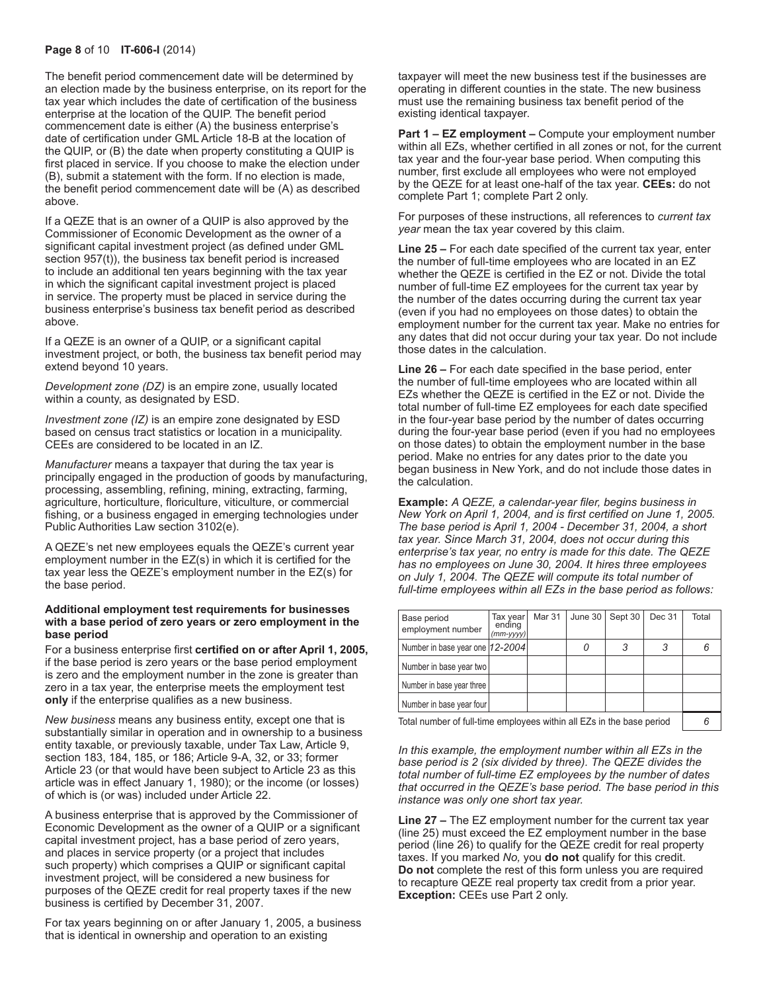#### **Page 8** of 10 **IT-606-I** (2014)

The benefit period commencement date will be determined by an election made by the business enterprise, on its report for the tax year which includes the date of certification of the business enterprise at the location of the QUIP. The benefit period commencement date is either (A) the business enterprise's date of certification under GML Article 18-B at the location of the QUIP, or (B) the date when property constituting a QUIP is first placed in service. If you choose to make the election under (B), submit a statement with the form. If no election is made, the benefit period commencement date will be (A) as described above.

If a QEZE that is an owner of a QUIP is also approved by the Commissioner of Economic Development as the owner of a significant capital investment project (as defined under GML section 957(t)), the business tax benefit period is increased to include an additional ten years beginning with the tax year in which the significant capital investment project is placed in service. The property must be placed in service during the business enterprise's business tax benefit period as described above.

If a QEZE is an owner of a QUIP, or a significant capital investment project, or both, the business tax benefit period may extend beyond 10 years.

*Development zone (DZ)* is an empire zone, usually located within a county, as designated by ESD.

*Investment zone (IZ)* is an empire zone designated by ESD based on census tract statistics or location in a municipality. CEEs are considered to be located in an IZ.

*Manufacturer* means a taxpayer that during the tax year is principally engaged in the production of goods by manufacturing, processing, assembling, refining, mining, extracting, farming, agriculture, horticulture, floriculture, viticulture, or commercial fishing, or a business engaged in emerging technologies under Public Authorities Law section 3102(e).

A QEZE's net new employees equals the QEZE's current year employment number in the EZ(s) in which it is certified for the tax year less the QEZE's employment number in the EZ(s) for the base period.

#### **Additional employment test requirements for businesses with a base period of zero years or zero employment in the base period**

For a business enterprise first **certified on or after April 1, 2005,** if the base period is zero years or the base period employment is zero and the employment number in the zone is greater than zero in a tax year, the enterprise meets the employment test **only** if the enterprise qualifies as a new business.

*New business* means any business entity, except one that is substantially similar in operation and in ownership to a business entity taxable, or previously taxable, under Tax Law, Article 9, section 183, 184, 185, or 186; Article 9-A, 32, or 33; former Article 23 (or that would have been subject to Article 23 as this article was in effect January 1, 1980); or the income (or losses) of which is (or was) included under Article 22.

A business enterprise that is approved by the Commissioner of Economic Development as the owner of a QUIP or a significant capital investment project, has a base period of zero years, and places in service property (or a project that includes such property) which comprises a QUIP or significant capital investment project, will be considered a new business for purposes of the QEZE credit for real property taxes if the new business is certified by December 31, 2007.

For tax years beginning on or after January 1, 2005, a business that is identical in ownership and operation to an existing

taxpayer will meet the new business test if the businesses are operating in different counties in the state. The new business must use the remaining business tax benefit period of the existing identical taxpayer.

**Part 1 – EZ employment –** Compute your employment number within all EZs, whether certified in all zones or not, for the current tax year and the four-year base period. When computing this number, first exclude all employees who were not employed by the QEZE for at least one-half of the tax year. **CEEs:** do not complete Part 1; complete Part 2 only.

For purposes of these instructions, all references to *current tax year* mean the tax year covered by this claim.

**Line 25 –** For each date specified of the current tax year, enter the number of full-time employees who are located in an EZ whether the QEZE is certified in the EZ or not. Divide the total number of full-time EZ employees for the current tax year by the number of the dates occurring during the current tax year (even if you had no employees on those dates) to obtain the employment number for the current tax year. Make no entries for any dates that did not occur during your tax year. Do not include those dates in the calculation.

**Line 26 –** For each date specified in the base period, enter the number of full-time employees who are located within all EZs whether the QEZE is certified in the EZ or not. Divide the total number of full-time EZ employees for each date specified in the four-year base period by the number of dates occurring during the four-year base period (even if you had no employees on those dates) to obtain the employment number in the base period. Make no entries for any dates prior to the date you began business in New York, and do not include those dates in the calculation.

**Example:** *A QEZE, a calendar-year filer, begins business in New York on April 1, 2004, and is first certified on June 1, 2005. The base period is April 1, 2004 - December 31, 2004, a short tax year. Since March 31, 2004, does not occur during this enterprise's tax year, no entry is made for this date. The QEZE has no employees on June 30, 2004. It hires three employees on July 1, 2004. The QEZE will compute its total number of full‑time employees within all EZs in the base period as follows:*

| Base period<br>employment number | Tax year<br>ending<br>$(mm-yyyy)$ | <b>Mar 31</b> | June $30$ | Sept 30 | Dec 31 | Total |
|----------------------------------|-----------------------------------|---------------|-----------|---------|--------|-------|
| Number in base year one  12-2004 |                                   |               |           |         |        |       |
| Number in base year two          |                                   |               |           |         |        |       |
| Number in base year three        |                                   |               |           |         |        |       |
| Number in base year four         |                                   |               |           |         |        |       |
|                                  |                                   |               |           |         |        |       |

Total number of full-time employees within all EZs in the base period *6*

*In this example, the employment number within all EZs in the base period is 2 (six divided by three). The QEZE divides the total number of full-time EZ employees by the number of dates that occurred in the QEZE's base period. The base period in this instance was only one short tax year.*

**Line 27 –** The EZ employment number for the current tax year (line 25) must exceed the EZ employment number in the base period (line 26) to qualify for the QEZE credit for real property taxes. If you marked *No,* you **do not** qualify for this credit. **Do not** complete the rest of this form unless you are required to recapture QEZE real property tax credit from a prior year. **Exception:** CEEs use Part 2 only.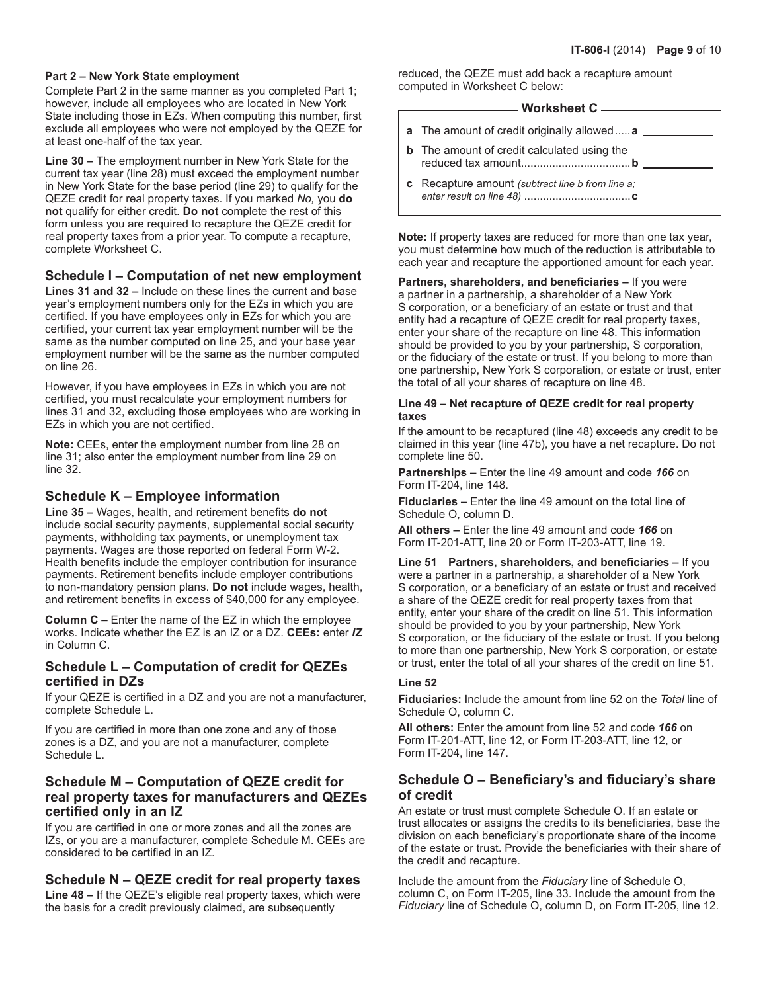#### **Part 2 – New York State employment**

Complete Part 2 in the same manner as you completed Part 1; however, include all employees who are located in New York State including those in EZs. When computing this number, first exclude all employees who were not employed by the QEZE for at least one-half of the tax year.

**Line 30 –** The employment number in New York State for the current tax year (line 28) must exceed the employment number in New York State for the base period (line 29) to qualify for the QEZE credit for real property taxes. If you marked *No,* you **do not** qualify for either credit. **Do not** complete the rest of this form unless you are required to recapture the QEZE credit for real property taxes from a prior year. To compute a recapture, complete Worksheet C.

## **Schedule I – Computation of net new employment**

**Lines 31 and 32 –** Include on these lines the current and base year's employment numbers only for the EZs in which you are certified. If you have employees only in EZs for which you are certified, your current tax year employment number will be the same as the number computed on line 25, and your base year employment number will be the same as the number computed on line 26.

However, if you have employees in EZs in which you are not certified, you must recalculate your employment numbers for lines 31 and 32, excluding those employees who are working in EZs in which you are not certified.

**Note:** CEEs, enter the employment number from line 28 on line 31; also enter the employment number from line 29 on line 32.

### **Schedule K – Employee information**

**Line 35 –** Wages, health, and retirement benefits **do not** include social security payments, supplemental social security payments, withholding tax payments, or unemployment tax payments. Wages are those reported on federal Form W-2. Health benefits include the employer contribution for insurance payments. Retirement benefits include employer contributions to non-mandatory pension plans. **Do not** include wages, health, and retirement benefits in excess of \$40,000 for any employee.

**Column C** – Enter the name of the EZ in which the employee works. Indicate whether the EZ is an IZ or a DZ. **CEEs:** enter *IZ* in Column C.

### **Schedule L – Computation of credit for QEZEs certified in DZs**

If your QEZE is certified in a DZ and you are not a manufacturer, complete Schedule L.

If you are certified in more than one zone and any of those zones is a DZ, and you are not a manufacturer, complete Schedule L.

## **Schedule M – Computation of QEZE credit for real property taxes for manufacturers and QEZEs certified only in an IZ**

If you are certified in one or more zones and all the zones are IZs, or you are a manufacturer, complete Schedule M. CEEs are considered to be certified in an IZ.

## **Schedule N – QEZE credit for real property taxes**

**Line 48 –** If the QEZE's eligible real property taxes, which were the basis for a credit previously claimed, are subsequently

reduced, the QEZE must add back a recapture amount computed in Worksheet C below:

## **Worksheet C**

- **a** The amount of credit originally allowed.....**a**
- **b** The amount of credit calculated using the reduced tax amount...................................**b**
- **c** Recapture amount *(subtract line b from line a; enter result on line 48)* ..................................**c**

**Note:** If property taxes are reduced for more than one tax year, you must determine how much of the reduction is attributable to each year and recapture the apportioned amount for each year.

**Partners, shareholders, and beneficiaries –** If you were a partner in a partnership, a shareholder of a New York S corporation, or a beneficiary of an estate or trust and that entity had a recapture of QEZE credit for real property taxes, enter your share of the recapture on line 48. This information should be provided to you by your partnership, S corporation, or the fiduciary of the estate or trust. If you belong to more than one partnership, New York S corporation, or estate or trust, enter the total of all your shares of recapture on line 48.

#### **Line 49 – Net recapture of QEZE credit for real property taxes**

If the amount to be recaptured (line 48) exceeds any credit to be claimed in this year (line 47b), you have a net recapture. Do not complete line 50.

**Partnerships –** Enter the line 49 amount and code *166* on Form IT-204, line 148.

**Fiduciaries –** Enter the line 49 amount on the total line of Schedule O, column D.

**All others –** Enter the line 49 amount and code *166* on Form IT‑201-ATT, line 20 or Form IT-203-ATT, line 19.

**Line 51 Partners, shareholders, and beneficiaries –** If you were a partner in a partnership, a shareholder of a New York S corporation, or a beneficiary of an estate or trust and received a share of the QEZE credit for real property taxes from that entity, enter your share of the credit on line 51. This information should be provided to you by your partnership, New York S corporation, or the fiduciary of the estate or trust. If you belong to more than one partnership, New York S corporation, or estate or trust, enter the total of all your shares of the credit on line 51.

### **Line 52**

**Fiduciaries:** Include the amount from line 52 on the *Total* line of Schedule O, column C.

**All others:** Enter the amount from line 52 and code *166* on Form IT-201-ATT, line 12, or Form IT-203-ATT, line 12, or Form IT-204, line 147.

## **Schedule O – Beneficiary's and fiduciary's share of credit**

An estate or trust must complete Schedule O. If an estate or trust allocates or assigns the credits to its beneficiaries, base the division on each beneficiary's proportionate share of the income of the estate or trust. Provide the beneficiaries with their share of the credit and recapture.

Include the amount from the *Fiduciary* line of Schedule O, column C, on Form IT-205, line 33. Include the amount from the *Fiduciary* line of Schedule O, column D, on Form IT-205, line 12.